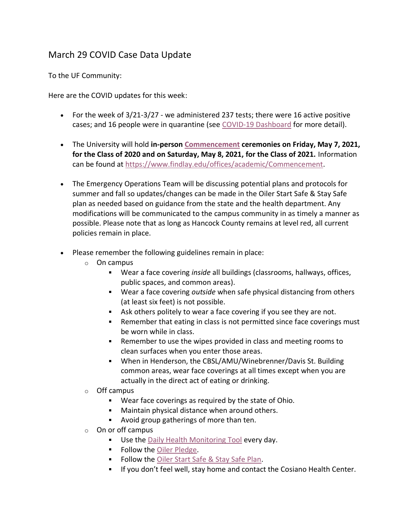## March 29 COVID Case Data Update

To the UF Community:

Here are the COVID updates for this week:

- For the week of 3/21-3/27 we administered 237 tests; there were 16 active positive cases; and 16 people were in quarantine (see [COVID-19 Dashboard](https://www.findlay.edu/oiler-start-safe-and-stay-safe/covid-dashboard) for more detail).
- The University will hold **in-person [Commencement](https://www.findlay.edu/offices/academic/Commencement) ceremonies on Friday, May 7, 2021, for the Class of 2020 and on Saturday, May 8, 2021, for the Class of 2021.** Information can be found at [https://www.findlay.edu/offices/academic/Commencement.](https://www.findlay.edu/offices/academic/Commencement)
- The Emergency Operations Team will be discussing potential plans and protocols for summer and fall so updates/changes can be made in the Oiler Start Safe & Stay Safe plan as needed based on guidance from the state and the health department. Any modifications will be communicated to the campus community in as timely a manner as possible. Please note that as long as Hancock County remains at level red, all current policies remain in place.
- Please remember the following guidelines remain in place:
	- o On campus
		- Wear a face covering *inside* all buildings (classrooms, hallways, offices, public spaces, and common areas).
		- Wear a face covering *outside* when safe physical distancing from others (at least six feet) is not possible.
		- Ask others politely to wear a face covering if you see they are not.
		- **Para Finance is not interefat** in class is not permitted since face coverings must be worn while in class.
		- Remember to use the wipes provided in class and meeting rooms to clean surfaces when you enter those areas.
		- When in Henderson, the CBSL/AMU/Winebrenner/Davis St. Building common areas, wear face coverings at all times except when you are actually in the direct act of eating or drinking.
	- o Off campus
		- Wear face coverings as required by the state of Ohio.
		- **Maintain physical distance when around others.**
		- Avoid group gatherings of more than ten.
	- $\circ$  On or off campus
		- **Use the [Daily Health Monitoring Tool](https://findlayu.workflowcloud.com/forms/c6f714d6-a1f3-4a6d-874c-9fedc91de3be) every day.**
		- **Follow the [Oiler Pledge.](https://www.findlay.edu/oiler-start-safe-and-stay-safe/oiler-nation-community-pledge)**
		- **Follow the [Oiler Start Safe & Stay Safe Plan.](https://www.findlay.edu/oiler-start-safe-and-stay-safe/)**
		- **If you don't feel well, stay home and contact the Cosiano Health Center.**